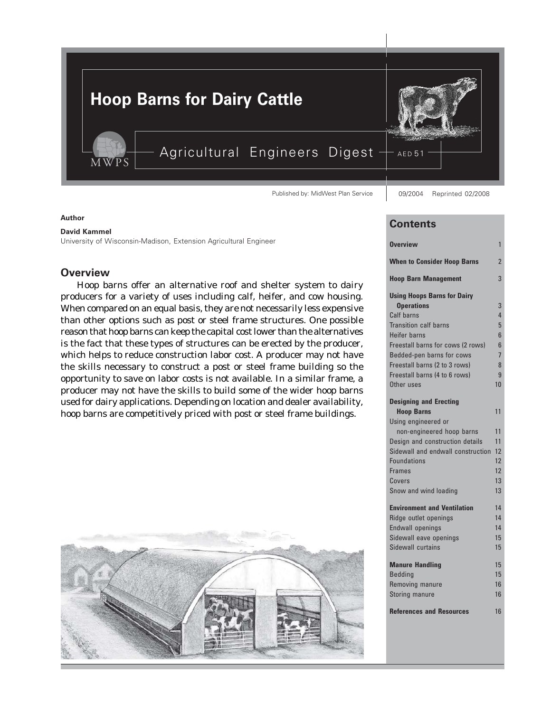

#### **Author**

**David Kammel** University of Wisconsin-Madison, Extension Agricultural Engineer

# **Overview**

Hoop barns offer an alternative roof and shelter system to dairy producers for a variety of uses including calf, heifer, and cow housing. When compared on an equal basis, they are not necessarily less expensive than other options such as post or steel frame structures. One possible reason that hoop barns can keep the capital cost lower than the alternatives is the fact that these types of structures can be erected by the producer, which helps to reduce construction labor cost. A producer may not have the skills necessary to construct a post or steel frame building so the opportunity to save on labor costs is not available. In a similar frame, a producer may not have the skills to build some of the wider hoop barns used for dairy applications. Depending on location and dealer availability, hoop barns are competitively priced with post or steel frame buildings.



# **Contents**

| <b>Overview</b>                    | 1                   |
|------------------------------------|---------------------|
| <b>When to Consider Hoop Barns</b> | 2                   |
| <b>Hoop Barn Management</b>        | 3                   |
| <b>Using Hoops Barns for Dairy</b> |                     |
| <b>Operations</b><br>Calf barns    | 3<br>$\overline{4}$ |
| <b>Transition calf barns</b>       | 5                   |
| <b>Heifer barns</b>                | 6                   |
| Freestall barns for cows (2 rows)  | 6                   |
| Bedded-pen barns for cows          | 7                   |
| Freestall barns (2 to 3 rows)      | 8                   |
| Freestall barns (4 to 6 rows)      | 9                   |
| Other uses                         | 10                  |
| <b>Designing and Erecting</b>      |                     |
| <b>Hoop Barns</b>                  | 11                  |
| Using engineered or                |                     |
| non-engineered hoop barns          | 11                  |
| Design and construction details    | 11                  |
| Sidewall and endwall construction  | 12                  |
| <b>Foundations</b>                 | 12                  |
| <b>Frames</b>                      | 12                  |
| Covers                             | 13                  |
| Snow and wind loading              | 13                  |
| <b>Environment and Ventilation</b> | 14                  |
| Ridge outlet openings              | 14                  |
| <b>Endwall openings</b>            | 14                  |
| Sidewall eave openings             | 15                  |
| <b>Sidewall curtains</b>           | 15                  |
| <b>Manure Handling</b>             | 15                  |
| <b>Bedding</b>                     | 15                  |
| Removing manure                    | 16                  |
| Storing manure                     | 16                  |
| <b>References and Resources</b>    | 16                  |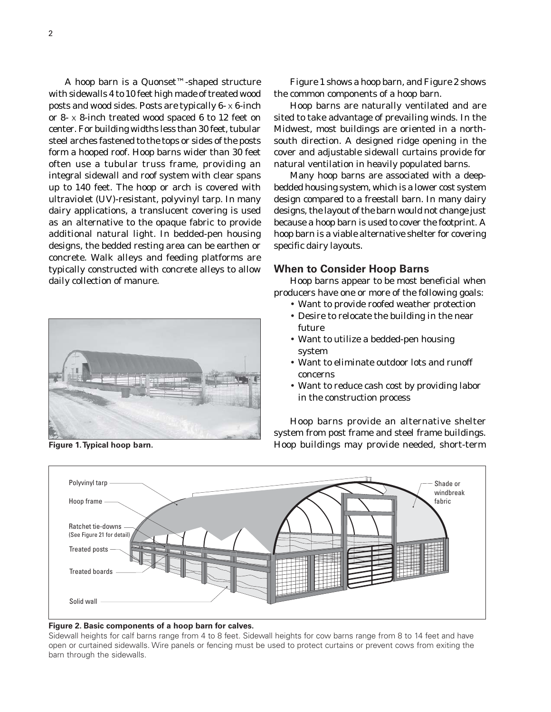A hoop barn is a Quonset™-shaped structure with sidewalls 4 to 10 feet high made of treated wood posts and wood sides. Posts are typically 6- x 6-inch or 8- x 8-inch treated wood spaced 6 to 12 feet on center. For building widths less than 30 feet, tubular steel arches fastened to the tops or sides of the posts form a hooped roof. Hoop barns wider than 30 feet often use a tubular truss frame, providing an integral sidewall and roof system with clear spans up to 140 feet. The hoop or arch is covered with ultraviolet (UV)-resistant, polyvinyl tarp. In many dairy applications, a translucent covering is used as an alternative to the opaque fabric to provide additional natural light. In bedded-pen housing designs, the bedded resting area can be earthen or concrete. Walk alleys and feeding platforms are typically constructed with concrete alleys to allow daily collection of manure.



**Figure 1. Typical hoop barn.**

Figure 1 shows a hoop barn, and Figure 2 shows the common components of a hoop barn.

Hoop barns are naturally ventilated and are sited to take advantage of prevailing winds. In the Midwest, most buildings are oriented in a northsouth direction. A designed ridge opening in the cover and adjustable sidewall curtains provide for natural ventilation in heavily populated barns.

Many hoop barns are associated with a deepbedded housing system, which is a lower cost system design compared to a freestall barn. In many dairy designs, the layout of the barn would not change just because a hoop barn is used to cover the footprint. A hoop barn is a viable alternative shelter for covering specific dairy layouts.

# **When to Consider Hoop Barns**

Hoop barns appear to be most beneficial when producers have one or more of the following goals:

- Want to provide roofed weather protection
- Desire to relocate the building in the near future
- Want to utilize a bedded-pen housing system
- Want to eliminate outdoor lots and runoff concerns
- Want to reduce cash cost by providing labor in the construction process

Hoop barns provide an alternative shelter system from post frame and steel frame buildings. Hoop buildings may provide needed, short-term



**Figure 2. Basic components of a hoop barn for calves.**

Sidewall heights for calf barns range from 4 to 8 feet. Sidewall heights for cow barns range from 8 to 14 feet and have open or curtained sidewalls. Wire panels or fencing must be used to protect curtains or prevent cows from exiting the barn through the sidewalls.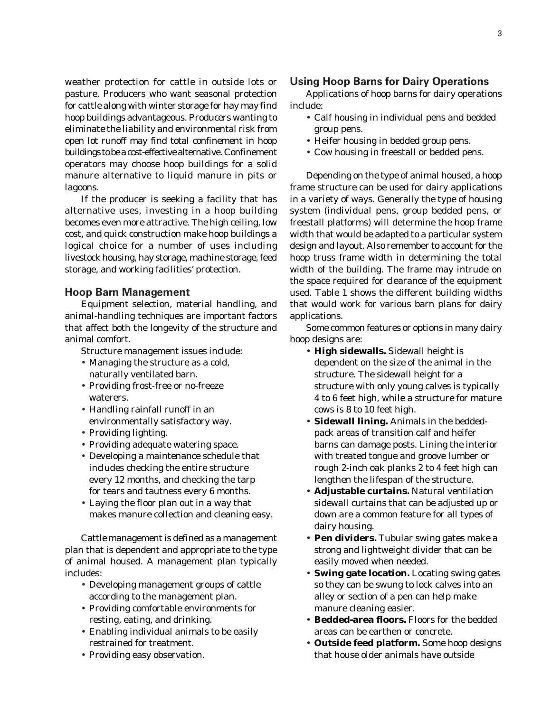weather protection for cattle in outside lots or pasture. Producers who want seasonal protection for cattle along with winter storage for hay may find hoop buildings advantageous. Producers wanting to eliminate the liability and environmental risk from open lot runoff may find total confinement in hoop buildings to be a cost-effective alternative. Confinement operators may choose hoop buildings for a solid manure alternative to liquid manure in pits or lagoons.

If the producer is seeking a facility that has alternative uses, investing in a hoop building becomes even more attractive. The high ceiling, low cost, and quick construction make hoop buildings a logical choice for a number of uses including livestock housing, hay storage, machine storage, feed storage, and working facilities' protection.

# **Hoop Barn Management**

Equipment selection, material handling, and animal-handling techniques are important factors that affect both the longevity of the structure and animal comfort.

Structure management issues include:

- Managing the structure as a cold, naturally ventilated barn.
- Providing frost-free or no-freeze waterers.
- Handling rainfall runoff in an environmentally satisfactory way.
- Providing lighting.
- Providing adequate watering space.
- Developing a maintenance schedule that includes checking the entire structure every 12 months, and checking the tarp for tears and tautness every 6 months.
- Laying the floor plan out in a way that makes manure collection and cleaning easy.

Cattle management is defined as a management plan that is dependent and appropriate to the type of animal housed. A management plan typically includes:

- Developing management groups of cattle according to the management plan.
- Providing comfortable environments for resting, eating, and drinking.
- Enabling individual animals to be easily restrained for treatment.
- Providing easy observation.

# **Using Hoop Barns for Dairy Operations**

Applications of hoop barns for dairy operations include:

- Calf housing in individual pens and bedded group pens.
- Heifer housing in bedded group pens.
- Cow housing in freestall or bedded pens.

Depending on the type of animal housed, a hoop frame structure can be used for dairy applications in a variety of ways. Generally the type of housing system (individual pens, group bedded pens, or freestall platforms) will determine the hoop frame width that would be adapted to a particular system design and layout. Also remember to account for the hoop truss frame width in determining the total width of the building. The frame may intrude on the space required for clearance of the equipment used. Table 1 shows the different building widths that would work for various barn plans for dairy applications.

Some common features or options in many dairy hoop designs are:

- **High sidewalls.** Sidewall height is dependent on the size of the animal in the structure. The sidewall height for a structure with only young calves is typically 4 to 6 feet high, while a structure for mature cows is 8 to 10 feet high.
- **Sidewall lining.** Animals in the beddedpack areas of transition calf and heifer barns can damage posts. Lining the interior with treated tongue and groove lumber or rough 2-inch oak planks 2 to 4 feet high can lengthen the lifespan of the structure.
- **Adjustable curtains.** Natural ventilation sidewall curtains that can be adjusted up or down are a common feature for all types of dairy housing.
- **Pen dividers.** Tubular swing gates make a strong and lightweight divider that can be easily moved when needed.
- **Swing gate location.** Locating swing gates so they can be swung to lock calves into an alley or section of a pen can help make manure cleaning easier.
- **Bedded-area floors.** Floors for the bedded areas can be earthen or concrete.
- **Outside feed platform.** Some hoop designs that house older animals have outside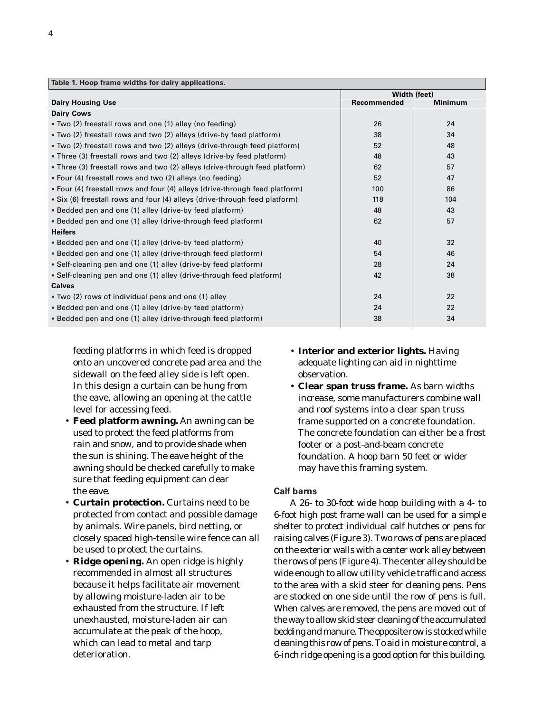| Table 1. Hoop frame widths for dairy applications.                          |              |                |  |
|-----------------------------------------------------------------------------|--------------|----------------|--|
|                                                                             | Width (feet) |                |  |
| <b>Dairy Housing Use</b>                                                    | Recommended  | <b>Minimum</b> |  |
| <b>Dairy Cows</b>                                                           |              |                |  |
| • Two (2) freestall rows and one (1) alley (no feeding)                     | 26           | 24             |  |
| • Two (2) freestall rows and two (2) alleys (drive-by feed platform)        | 38           | 34             |  |
| • Two (2) freestall rows and two (2) alleys (drive-through feed platform)   | 52           | 48             |  |
| • Three (3) freestall rows and two (2) alleys (drive-by feed platform)      | 48           | 43             |  |
| • Three (3) freestall rows and two (2) alleys (drive-through feed platform) | 62           | 57             |  |
| • Four (4) freestall rows and two (2) alleys (no feeding)                   | 52           | 47             |  |
| • Four (4) freestall rows and four (4) alleys (drive-through feed platform) | 100          | 86             |  |
| • Six (6) freestall rows and four (4) alleys (drive-through feed platform)  | 118          | 104            |  |
| • Bedded pen and one (1) alley (drive-by feed platform)                     | 48           | 43             |  |
| • Bedded pen and one (1) alley (drive-through feed platform)                | 62           | 57             |  |
| <b>Heifers</b>                                                              |              |                |  |
| • Bedded pen and one (1) alley (drive-by feed platform)                     | 40           | 32             |  |
| • Bedded pen and one (1) alley (drive-through feed platform)                | 54           | 46             |  |
| • Self-cleaning pen and one (1) alley (drive-by feed platform)              | 28           | 24             |  |
| • Self-cleaning pen and one (1) alley (drive-through feed platform)         | 42           | 38             |  |
| <b>Calves</b>                                                               |              |                |  |
| • Two (2) rows of individual pens and one (1) alley                         | 24           | 22             |  |
| • Bedded pen and one (1) alley (drive-by feed platform)                     | 24           | 22             |  |
| • Bedded pen and one (1) alley (drive-through feed platform)                | 38           | 34             |  |

feeding platforms in which feed is dropped onto an uncovered concrete pad area and the sidewall on the feed alley side is left open. In this design a curtain can be hung from the eave, allowing an opening at the cattle level for accessing feed.

- **Feed platform awning.** An awning can be used to protect the feed platforms from rain and snow, and to provide shade when the sun is shining. The eave height of the awning should be checked carefully to make sure that feeding equipment can clear the eave.
- **Curtain protection.** Curtains need to be protected from contact and possible damage by animals. Wire panels, bird netting, or closely spaced high-tensile wire fence can all be used to protect the curtains.
- **Ridge opening.** An open ridge is highly recommended in almost all structures because it helps facilitate air movement by allowing moisture-laden air to be exhausted from the structure. If left unexhausted, moisture-laden air can accumulate at the peak of the hoop, which can lead to metal and tarp deterioration.
- **Interior and exterior lights.** Having adequate lighting can aid in nighttime observation.
- **Clear span truss frame.** As barn widths increase, some manufacturers combine wall and roof systems into a clear span truss frame supported on a concrete foundation. The concrete foundation can either be a frost footer or a post-and-beam concrete foundation. A hoop barn 50 feet or wider may have this framing system.

# **Calf barns**

A 26- to 30-foot wide hoop building with a 4- to 6-foot high post frame wall can be used for a simple shelter to protect individual calf hutches or pens for raising calves (Figure 3). Two rows of pens are placed on the exterior walls with a center work alley between the rows of pens (Figure 4). The center alley should be wide enough to allow utility vehicle traffic and access to the area with a skid steer for cleaning pens. Pens are stocked on one side until the row of pens is full. When calves are removed, the pens are moved out of the way to allow skid steer cleaning of the accumulated bedding and manure. The opposite row is stocked while cleaning this row of pens. To aid in moisture control, a 6-inch ridge opening is a good option for this building.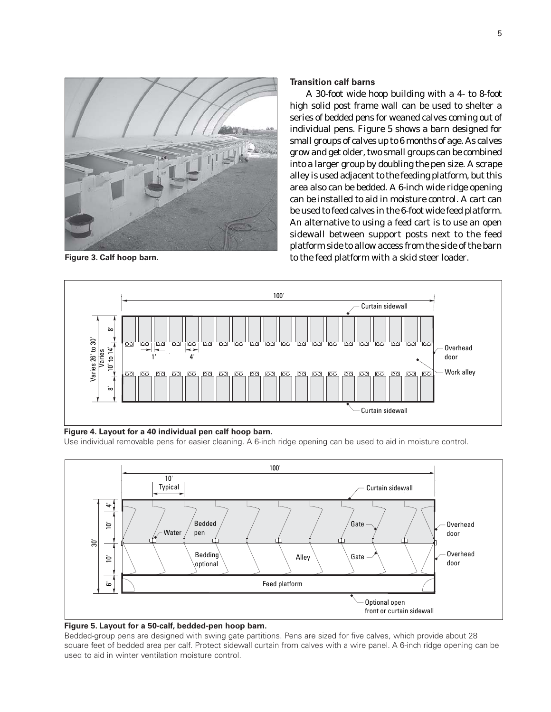

**Transition calf barns**

A 30-foot wide hoop building with a 4- to 8-foot high solid post frame wall can be used to shelter a series of bedded pens for weaned calves coming out of individual pens. Figure 5 shows a barn designed for small groups of calves up to 6 months of age. As calves grow and get older, two small groups can be combined into a larger group by doubling the pen size. A scrape alley is used adjacent to the feeding platform, but this area also can be bedded. A 6-inch wide ridge opening can be installed to aid in moisture control. A cart can be used to feed calves in the 6-foot wide feed platform. An alternative to using a feed cart is to use an open sidewall between support posts next to the feed platform side to allow access from the side of the barn **Figure 3. Calf hoop barn.** to the feed platform with a skid steer loader.



#### **Figure 4. Layout for a 40 individual pen calf hoop barn.**

Use individual removable pens for easier cleaning. A 6-inch ridge opening can be used to aid in moisture control.



#### **Figure 5. Layout for a 50-calf, bedded-pen hoop barn.**

Bedded-group pens are designed with swing gate partitions. Pens are sized for five calves, which provide about 28 square feet of bedded area per calf. Protect sidewall curtain from calves with a wire panel. A 6-inch ridge opening can be used to aid in winter ventilation moisture control.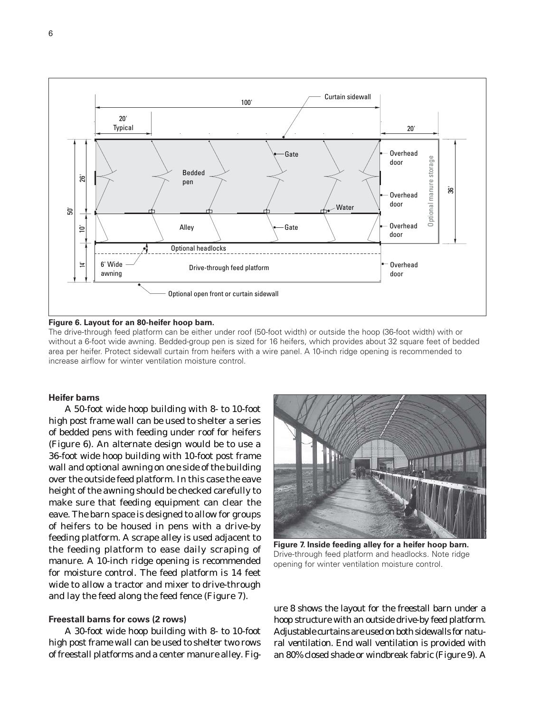

**Figure 6. Layout for an 80-heifer hoop barn.**

The drive-through feed platform can be either under roof (50-foot width) or outside the hoop (36-foot width) with or without a 6-foot wide awning. Bedded-group pen is sized for 16 heifers, which provides about 32 square feet of bedded area per heifer. Protect sidewall curtain from heifers with a wire panel. A 10-inch ridge opening is recommended to increase airflow for winter ventilation moisture control.

### **Heifer barns**

A 50-foot wide hoop building with 8- to 10-foot high post frame wall can be used to shelter a series of bedded pens with feeding under roof for heifers (Figure 6). An alternate design would be to use a 36-foot wide hoop building with 10-foot post frame wall and optional awning on one side of the building over the outside feed platform. In this case the eave height of the awning should be checked carefully to make sure that feeding equipment can clear the eave. The barn space is designed to allow for groups of heifers to be housed in pens with a drive-by feeding platform. A scrape alley is used adjacent to the feeding platform to ease daily scraping of manure. A 10-inch ridge opening is recommended for moisture control. The feed platform is 14 feet wide to allow a tractor and mixer to drive-through and lay the feed along the feed fence (Figure 7).

### **Freestall barns for cows (2 rows)**

A 30-foot wide hoop building with 8- to 10-foot high post frame wall can be used to shelter two rows of freestall platforms and a center manure alley. Fig-



**Figure 7. Inside feeding alley for a heifer hoop barn.** Drive-through feed platform and headlocks. Note ridge opening for winter ventilation moisture control.

ure 8 shows the layout for the freestall barn under a hoop structure with an outside drive-by feed platform. Adjustable curtains are used on both sidewalls for natural ventilation. End wall ventilation is provided with an 80% closed shade or windbreak fabric (Figure 9). A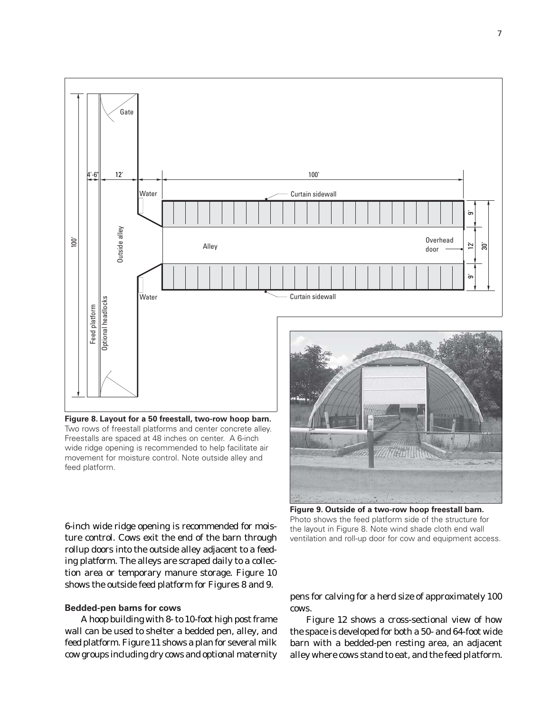

**Figure 8. Layout for a 50 freestall, two-row hoop barn.** Two rows of freestall platforms and center concrete alley. Freestalls are spaced at 48 inches on center. A 6-inch wide ridge opening is recommended to help facilitate air movement for moisture control. Note outside alley and feed platform.

6-inch wide ridge opening is recommended for moisture control. Cows exit the end of the barn through rollup doors into the outside alley adjacent to a feeding platform. The alleys are scraped daily to a collection area or temporary manure storage. Figure 10 shows the outside feed platform for Figures 8 and 9.

# **Bedded-pen barns for cows**

A hoop building with 8- to 10-foot high post frame wall can be used to shelter a bedded pen, alley, and feed platform. Figure 11 shows a plan for several milk cow groups including dry cows and optional maternity

**Figure 9. Outside of a two-row hoop freestall barn.** Photo shows the feed platform side of the structure for the layout in Figure 8. Note wind shade cloth end wall ventilation and roll-up door for cow and equipment access.

pens for calving for a herd size of approximately 100 cows.

Figure 12 shows a cross-sectional view of how the space is developed for both a 50- and 64-foot wide barn with a bedded-pen resting area, an adjacent alley where cows stand to eat, and the feed platform.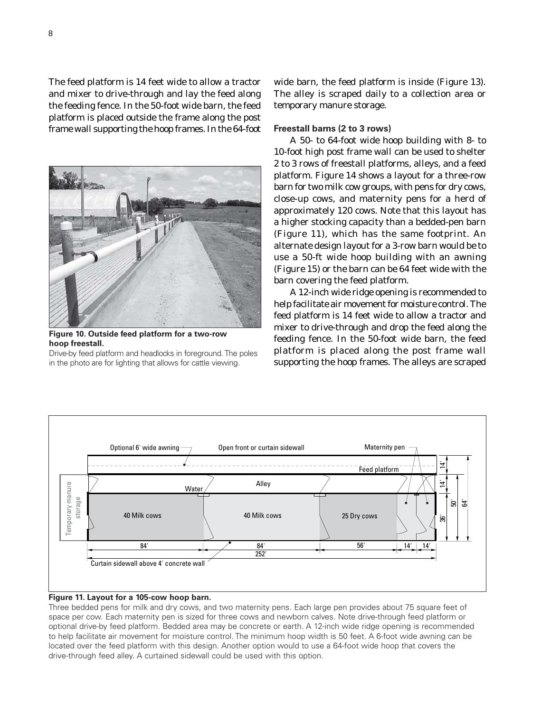The feed platform is 14 feet wide to allow a tractor and mixer to drive-through and lay the feed along the feeding fence. In the 50-foot wide barn, the feed platform is placed outside the frame along the post frame wall supporting the hoop frames. In the 64-foot



**Figure 10. Outside feed platform for a two-row hoop freestall.**

Drive-by feed platform and headlocks in foreground. The poles in the photo are for lighting that allows for cattle viewing.

wide barn, the feed platform is inside (Figure 13). The alley is scraped daily to a collection area or temporary manure storage.

### **Freestall barns (2 to 3 rows)**

A 50- to 64-foot wide hoop building with 8- to 10-foot high post frame wall can be used to shelter 2 to 3 rows of freestall platforms, alleys, and a feed platform. Figure 14 shows a layout for a three-row barn for two milk cow groups, with pens for dry cows, close-up cows, and maternity pens for a herd of approximately 120 cows. Note that this layout has a higher stocking capacity than a bedded-pen barn (Figure 11), which has the same footprint. An alternate design layout for a 3-row barn would be to use a 50-ft wide hoop building with an awning (Figure 15) or the barn can be 64 feet wide with the barn covering the feed platform.

A 12-inch wide ridge opening is recommended to help facilitate air movement for moisture control. The feed platform is 14 feet wide to allow a tractor and mixer to drive-through and drop the feed along the feeding fence. In the 50-foot wide barn, the feed platform is placed along the post frame wall supporting the hoop frames. The alleys are scraped



### **Figure 11. Layout for a 105-cow hoop barn.**

Three bedded pens for milk and dry cows, and two maternity pens. Each large pen provides about 75 square feet of space per cow. Each maternity pen is sized for three cows and newborn calves. Note drive-through feed platform or optional drive-by feed platform. Bedded area may be concrete or earth. A 12-inch wide ridge opening is recommended to help facilitate air movement for moisture control. The minimum hoop width is 50 feet. A 6-foot wide awning can be located over the feed platform with this design. Another option would to use a 64-foot wide hoop that covers the drive-through feed alley. A curtained sidewall could be used with this option.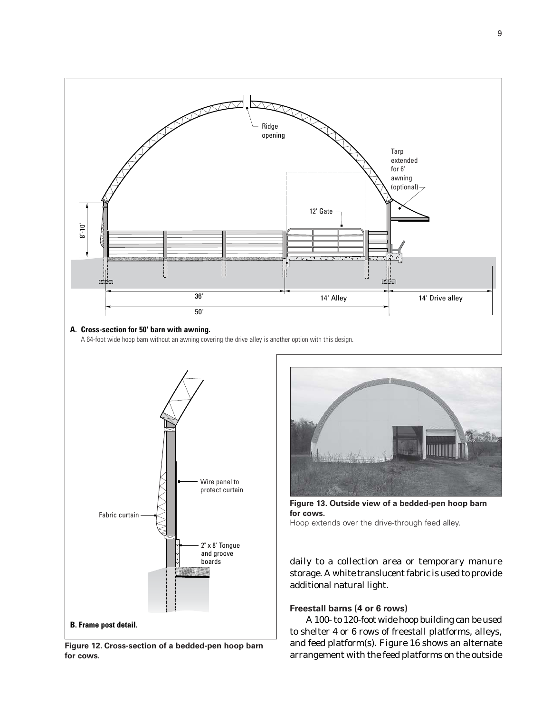

arrangement with the feed platforms on the outside

**Figure 12. Cross-section of a bedded-pen hoop barn for cows.**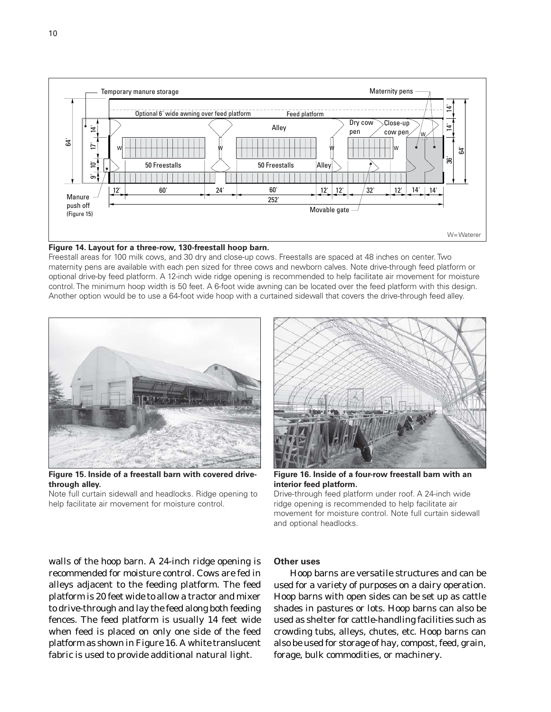

## **Figure 14. Layout for a three-row, 130-freestall hoop barn.**

Freestall areas for 100 milk cows, and 30 dry and close-up cows. Freestalls are spaced at 48 inches on center. Two maternity pens are available with each pen sized for three cows and newborn calves. Note drive-through feed platform or optional drive-by feed platform. A 12-inch wide ridge opening is recommended to help facilitate air movement for moisture control. The minimum hoop width is 50 feet. A 6-foot wide awning can be located over the feed platform with this design. Another option would be to use a 64-foot wide hoop with a curtained sidewall that covers the drive-through feed alley.



**Figure 15. Inside of a freestall barn with covered drivethrough alley.**

Note full curtain sidewall and headlocks. Ridge opening to help facilitate air movement for moisture control.



**Figure 16. Inside of a four-row freestall barn with an interior feed platform.**

Drive-through feed platform under roof. A 24-inch wide ridge opening is recommended to help facilitate air movement for moisture control. Note full curtain sidewall and optional headlocks.

walls of the hoop barn. A 24-inch ridge opening is recommended for moisture control. Cows are fed in alleys adjacent to the feeding platform. The feed platform is 20 feet wide to allow a tractor and mixer to drive-through and lay the feed along both feeding fences. The feed platform is usually 14 feet wide when feed is placed on only one side of the feed platform as shown in Figure 16. A white translucent fabric is used to provide additional natural light.

### **Other uses**

Hoop barns are versatile structures and can be used for a variety of purposes on a dairy operation. Hoop barns with open sides can be set up as cattle shades in pastures or lots. Hoop barns can also be used as shelter for cattle-handling facilities such as crowding tubs, alleys, chutes, etc. Hoop barns can also be used for storage of hay, compost, feed, grain, forage, bulk commodities, or machinery.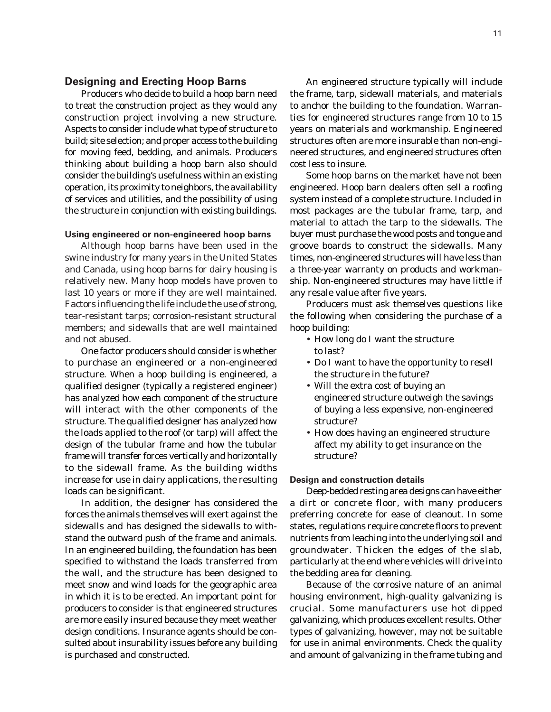## **Designing and Erecting Hoop Barns**

Producers who decide to build a hoop barn need to treat the construction project as they would any construction project involving a new structure. Aspects to consider include what type of structure to build; site selection; and proper access to the building for moving feed, bedding, and animals. Producers thinking about building a hoop barn also should consider the building's usefulness within an existing operation, its proximity to neighbors, the availability of services and utilities, and the possibility of using the structure in conjunction with existing buildings.

#### **Using engineered or non-engineered hoop barns**

Although hoop barns have been used in the swine industry for many years in the United States and Canada, using hoop barns for dairy housing is relatively new. Many hoop models have proven to last 10 years or more if they are well maintained. Factors influencing the life include the use of strong, tear-resistant tarps; corrosion-resistant structural members; and sidewalls that are well maintained and not abused.

One factor producers should consider is whether to purchase an engineered or a non-engineered structure. When a hoop building is engineered, a qualified designer (typically a registered engineer) has analyzed how each component of the structure will interact with the other components of the structure. The qualified designer has analyzed how the loads applied to the roof (or tarp) will affect the design of the tubular frame and how the tubular frame will transfer forces vertically and horizontally to the sidewall frame. As the building widths increase for use in dairy applications, the resulting loads can be significant.

In addition, the designer has considered the forces the animals themselves will exert against the sidewalls and has designed the sidewalls to withstand the outward push of the frame and animals. In an engineered building, the foundation has been specified to withstand the loads transferred from the wall, and the structure has been designed to meet snow and wind loads for the geographic area in which it is to be erected. An important point for producers to consider is that engineered structures are more easily insured because they meet weather design conditions. Insurance agents should be consulted about insurability issues before any building is purchased and constructed.

An engineered structure typically will include the frame, tarp, sidewall materials, and materials to anchor the building to the foundation. Warranties for engineered structures range from 10 to 15 years on materials and workmanship. Engineered structures often are more insurable than non-engineered structures, and engineered structures often cost less to insure.

Some hoop barns on the market have not been engineered. Hoop barn dealers often sell a roofing system instead of a complete structure. Included in most packages are the tubular frame, tarp, and material to attach the tarp to the sidewalls. The buyer must purchase the wood posts and tongue and groove boards to construct the sidewalls. Many times, non-engineered structures will have less than a three-year warranty on products and workmanship. Non-engineered structures may have little if any resale value after five years.

Producers must ask themselves questions like the following when considering the purchase of a hoop building:

- How long do I want the structure to last?
- Do I want to have the opportunity to resell the structure in the future?
- Will the extra cost of buying an engineered structure outweigh the savings of buying a less expensive, non-engineered structure?
- How does having an engineered structure affect my ability to get insurance on the structure?

# **Design and construction details**

Deep-bedded resting area designs can have either a dirt or concrete floor, with many producers preferring concrete for ease of cleanout. In some states, regulations require concrete floors to prevent nutrients from leaching into the underlying soil and groundwater. Thicken the edges of the slab, particularly at the end where vehicles will drive into the bedding area for cleaning.

Because of the corrosive nature of an animal housing environment, high-quality galvanizing is crucial. Some manufacturers use hot dipped galvanizing, which produces excellent results. Other types of galvanizing, however, may not be suitable for use in animal environments. Check the quality and amount of galvanizing in the frame tubing and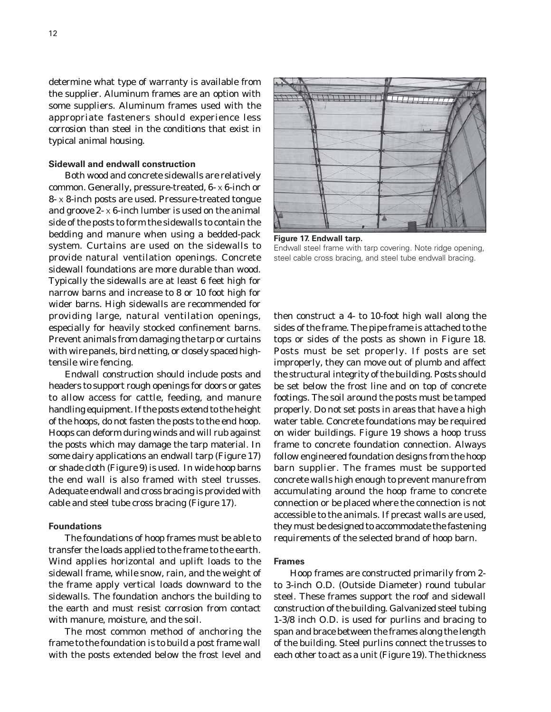determine what type of warranty is available from the supplier. Aluminum frames are an option with some suppliers. Aluminum frames used with the appropriate fasteners should experience less corrosion than steel in the conditions that exist in typical animal housing.

### **Sidewall and endwall construction**

Both wood and concrete sidewalls are relatively common. Generally, pressure-treated, 6- x 6-inch or 8- x 8-inch posts are used. Pressure-treated tongue and groove  $2 - x$  6-inch lumber is used on the animal side of the posts to form the sidewalls to contain the bedding and manure when using a bedded-pack system. Curtains are used on the sidewalls to provide natural ventilation openings. Concrete sidewall foundations are more durable than wood. Typically the sidewalls are at least 6 feet high for narrow barns and increase to 8 or 10 foot high for wider barns. High sidewalls are recommended for providing large, natural ventilation openings, especially for heavily stocked confinement barns. Prevent animals from damaging the tarp or curtains with wire panels, bird netting, or closely spaced hightensile wire fencing.

Endwall construction should include posts and headers to support rough openings for doors or gates to allow access for cattle, feeding, and manure handling equipment. If the posts extend to the height of the hoops, do not fasten the posts to the end hoop. Hoops can deform during winds and will rub against the posts which may damage the tarp material. In some dairy applications an endwall tarp (Figure 17) or shade cloth (Figure 9) is used. In wide hoop barns the end wall is also framed with steel trusses. Adequate endwall and cross bracing is provided with cable and steel tube cross bracing (Figure 17).

#### **Foundations**

The foundations of hoop frames must be able to transfer the loads applied to the frame to the earth. Wind applies horizontal and uplift loads to the sidewall frame, while snow, rain, and the weight of the frame apply vertical loads downward to the sidewalls. The foundation anchors the building to the earth and must resist corrosion from contact with manure, moisture, and the soil.

The most common method of anchoring the frame to the foundation is to build a post frame wall with the posts extended below the frost level and

**Figure 17. Endwall tarp.** Endwall steel frame with tarp covering. Note ridge opening, steel cable cross bracing, and steel tube endwall bracing.

then construct a 4- to 10-foot high wall along the sides of the frame. The pipe frame is attached to the tops or sides of the posts as shown in Figure 18. Posts must be set properly. If posts are set improperly, they can move out of plumb and affect the structural integrity of the building. Posts should be set below the frost line and on top of concrete footings. The soil around the posts must be tamped properly. Do not set posts in areas that have a high water table. Concrete foundations may be required on wider buildings. Figure 19 shows a hoop truss frame to concrete foundation connection. Always follow engineered foundation designs from the hoop barn supplier. The frames must be supported concrete walls high enough to prevent manure from accumulating around the hoop frame to concrete connection or be placed where the connection is not accessible to the animals. If precast walls are used, they must be designed to accommodate the fastening requirements of the selected brand of hoop barn.

### **Frames**

Hoop frames are constructed primarily from 2 to 3-inch O.D. (Outside Diameter) round tubular steel. These frames support the roof and sidewall construction of the building. Galvanized steel tubing 1-3/8 inch O.D. is used for purlins and bracing to span and brace between the frames along the length of the building. Steel purlins connect the trusses to each other to act as a unit (Figure 19). The thickness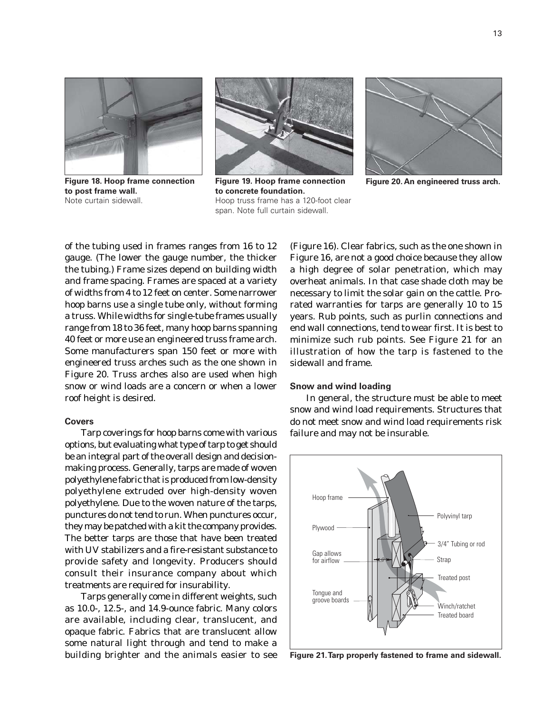

**Figure 18. Hoop frame connection to post frame wall.** Note curtain sidewall.



**to concrete foundation.** Hoop truss frame has a 120-foot clear span. Note full curtain sidewall.



**Figure 19. Hoop frame connection Figure 20. An engineered truss arch.**

of the tubing used in frames ranges from 16 to 12 gauge. (The lower the gauge number, the thicker the tubing.) Frame sizes depend on building width and frame spacing. Frames are spaced at a variety of widths from 4 to 12 feet on center. Some narrower hoop barns use a single tube only, without forming a truss. While widths for single-tube frames usually range from 18 to 36 feet, many hoop barns spanning 40 feet or more use an engineered truss frame arch. Some manufacturers span 150 feet or more with engineered truss arches such as the one shown in Figure 20. Truss arches also are used when high snow or wind loads are a concern or when a lower roof height is desired.

### **Covers**

Tarp coverings for hoop barns come with various options, but evaluating what type of tarp to get should be an integral part of the overall design and decisionmaking process. Generally, tarps are made of woven polyethylene fabric that is produced from low-density polyethylene extruded over high-density woven polyethylene. Due to the woven nature of the tarps, punctures do not tend to run. When punctures occur, they may be patched with a kit the company provides. The better tarps are those that have been treated with UV stabilizers and a fire-resistant substance to provide safety and longevity. Producers should consult their insurance company about which treatments are required for insurability.

Tarps generally come in different weights, such as 10.0-, 12.5-, and 14.9-ounce fabric. Many colors are available, including clear, translucent, and opaque fabric. Fabrics that are translucent allow some natural light through and tend to make a building brighter and the animals easier to see (Figure 16). Clear fabrics, such as the one shown in Figure 16, are not a good choice because they allow a high degree of solar penetration, which may overheat animals. In that case shade cloth may be necessary to limit the solar gain on the cattle. Prorated warranties for tarps are generally 10 to 15 years. Rub points, such as purlin connections and end wall connections, tend to wear first. It is best to minimize such rub points. See Figure 21 for an illustration of how the tarp is fastened to the sidewall and frame.

#### **Snow and wind loading**

In general, the structure must be able to meet snow and wind load requirements. Structures that do not meet snow and wind load requirements risk failure and may not be insurable.



**Figure 21. Tarp properly fastened to frame and sidewall.**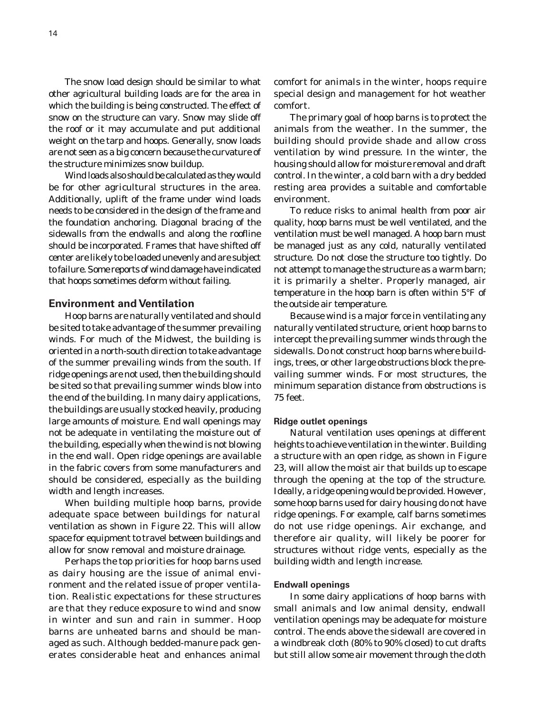The snow load design should be similar to what other agricultural building loads are for the area in which the building is being constructed. The effect of snow on the structure can vary. Snow may slide off the roof or it may accumulate and put additional weight on the tarp and hoops. Generally, snow loads are not seen as a big concern because the curvature of the structure minimizes snow buildup.

Wind loads also should be calculated as they would be for other agricultural structures in the area. Additionally, uplift of the frame under wind loads needs to be considered in the design of the frame and the foundation anchoring. Diagonal bracing of the sidewalls from the endwalls and along the roofline should be incorporated. Frames that have shifted off center are likely to be loaded unevenly and are subject to failure. Some reports of wind damage have indicated that hoops sometimes deform without failing.

### **Environment and Ventilation**

Hoop barns are naturally ventilated and should be sited to take advantage of the summer prevailing winds. For much of the Midwest, the building is oriented in a north-south direction to take advantage of the summer prevailing winds from the south. If ridge openings are not used, then the building should be sited so that prevailing summer winds blow into the end of the building. In many dairy applications, the buildings are usually stocked heavily, producing large amounts of moisture. End wall openings may not be adequate in ventilating the moisture out of the building, especially when the wind is not blowing in the end wall. Open ridge openings are available in the fabric covers from some manufacturers and should be considered, especially as the building width and length increases.

When building multiple hoop barns, provide adequate space between buildings for natural ventilation as shown in Figure 22. This will allow space for equipment to travel between buildings and allow for snow removal and moisture drainage.

Perhaps the top priorities for hoop barns used as dairy housing are the issue of animal environment and the related issue of proper ventilation. Realistic expectations for these structures are that they reduce exposure to wind and snow in winter and sun and rain in summer. Hoop barns are unheated barns and should be managed as such. Although bedded-manure pack generates considerable heat and enhances animal

comfort for animals in the winter, hoops require special design and management for hot weather comfort.

The primary goal of hoop barns is to protect the animals from the weather. In the summer, the building should provide shade and allow cross ventilation by wind pressure. In the winter, the housing should allow for moisture removal and draft control. In the winter, a cold barn with a dry bedded resting area provides a suitable and comfortable environment.

To reduce risks to animal health from poor air quality, hoop barns must be well ventilated, and the ventilation must be well managed. A hoop barn must be managed just as any cold, naturally ventilated structure. Do not close the structure too tightly. Do not attempt to manage the structure as a warm barn; it is primarily a shelter. Properly managed, air temperature in the hoop barn is often within 5°F of the outside air temperature.

Because wind is a major force in ventilating any naturally ventilated structure, orient hoop barns to intercept the prevailing summer winds through the sidewalls. Do not construct hoop barns where buildings, trees, or other large obstructions block the prevailing summer winds. For most structures, the minimum separation distance from obstructions is 75 feet.

#### **Ridge outlet openings**

Natural ventilation uses openings at different heights to achieve ventilation in the winter. Building a structure with an open ridge, as shown in Figure 23, will allow the moist air that builds up to escape through the opening at the top of the structure. Ideally, a ridge opening would be provided. However, some hoop barns used for dairy housing do not have ridge openings. For example, calf barns sometimes do not use ridge openings. Air exchange, and therefore air quality, will likely be poorer for structures without ridge vents, especially as the building width and length increase.

### **Endwall openings**

In some dairy applications of hoop barns with small animals and low animal density, endwall ventilation openings may be adequate for moisture control. The ends above the sidewall are covered in a windbreak cloth (80% to 90% closed) to cut drafts but still allow some air movement through the cloth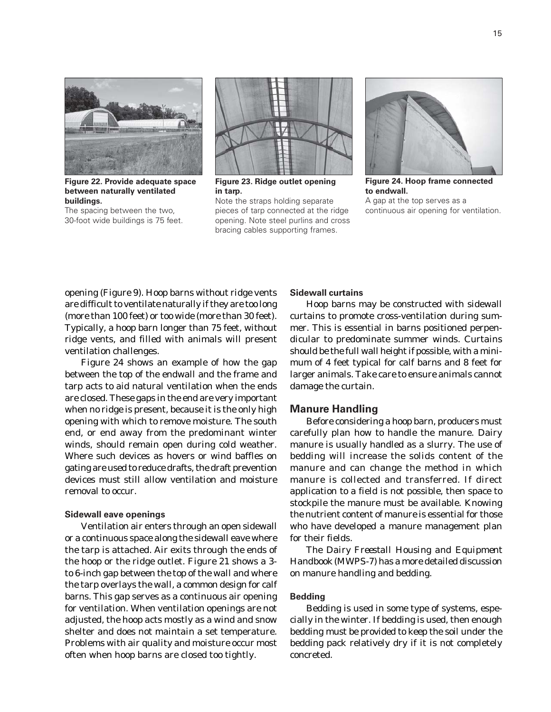

**Figure 22. Provide adequate space between naturally ventilated buildings.**

The spacing between the two, 30-foot wide buildings is 75 feet.



**Figure 23. Ridge outlet opening in tarp.**

Note the straps holding separate pieces of tarp connected at the ridge opening. Note steel purlins and cross bracing cables supporting frames.



**Figure 24. Hoop frame connected to endwall.** A gap at the top serves as a continuous air opening for ventilation.

opening (Figure 9). Hoop barns without ridge vents are difficult to ventilate naturally if they are too long (more than 100 feet) or too wide (more than 30 feet). Typically, a hoop barn longer than 75 feet, without ridge vents, and filled with animals will present ventilation challenges.

Figure 24 shows an example of how the gap between the top of the endwall and the frame and tarp acts to aid natural ventilation when the ends are closed. These gaps in the end are very important when no ridge is present, because it is the only high opening with which to remove moisture. The south end, or end away from the predominant winter winds, should remain open during cold weather. Where such devices as hovers or wind baffles on gating are used to reduce drafts, the draft prevention devices must still allow ventilation and moisture removal to occur.

#### **Sidewall eave openings**

Ventilation air enters through an open sidewall or a continuous space along the sidewall eave where the tarp is attached. Air exits through the ends of the hoop or the ridge outlet. Figure 21 shows a 3 to 6-inch gap between the top of the wall and where the tarp overlays the wall, a common design for calf barns. This gap serves as a continuous air opening for ventilation. When ventilation openings are not adjusted, the hoop acts mostly as a wind and snow shelter and does not maintain a set temperature. Problems with air quality and moisture occur most often when hoop barns are closed too tightly.

# **Sidewall curtains**

Hoop barns may be constructed with sidewall curtains to promote cross-ventilation during summer. This is essential in barns positioned perpendicular to predominate summer winds. Curtains should be the full wall height if possible, with a minimum of 4 feet typical for calf barns and 8 feet for larger animals. Take care to ensure animals cannot damage the curtain.

### **Manure Handling**

Before considering a hoop barn, producers must carefully plan how to handle the manure. Dairy manure is usually handled as a slurry. The use of bedding will increase the solids content of the manure and can change the method in which manure is collected and transferred. If direct application to a field is not possible, then space to stockpile the manure must be available. Knowing the nutrient content of manure is essential for those who have developed a manure management plan for their fields.

The *Dairy Freestall Housing and Equipment Handbook* (MWPS-7) has a more detailed discussion on manure handling and bedding.

# **Bedding**

Bedding is used in some type of systems, especially in the winter. If bedding is used, then enough bedding must be provided to keep the soil under the bedding pack relatively dry if it is not completely concreted.